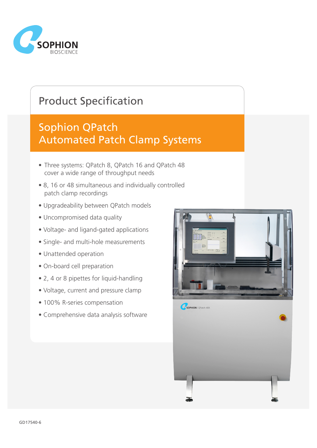

# Product Specification

## Sophion QPatch Automated Patch Clamp Systems

- Three systems: QPatch 8, QPatch 16 and QPatch 48 cover a wide range of throughput needs
- 8, 16 or 48 simultaneous and individually controlled patch clamp recordings
- Upgradeability between QPatch models
- Uncompromised data quality
- Voltage- and ligand-gated applications
- Single- and multi-hole measurements
- Unattended operation
- On-board cell preparation
- 2, 4 or 8 pipettes for liquid-handling
- Voltage, current and pressure clamp
- 100% R-series compensation
- Comprehensive data analysis software

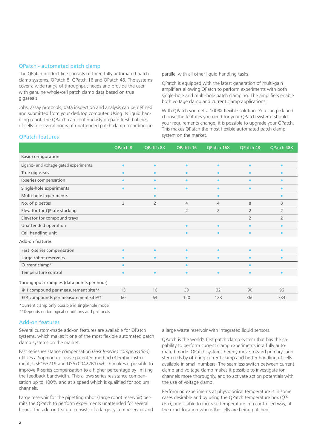#### QPatch - automated patch clamp

The QPatch product line consists of three fully automated patch clamp systems, QPatch 8, QPatch 16 and QPatch 48. The systems cover a wide range of throughput needs and provide the user with genuine whole-cell patch clamp data based on true gigaseals.

Jobs, assay protocols, data inspection and analysis can be defined and submitted from your desktop computer. Using its liquid handling robot, the QPatch can continuously prepare fresh batches of cells for several hours of unattended patch clamp recordings in parallel with all other liquid handling tasks.

QPatch is equipped with the latest generation of multi-gain amplifiers allowing QPatch to perform experiments with both single-hole and multi-hole patch clamping. The amplifiers enable both voltage clamp and current clamp applications.

With QPatch you get a 100% flexible solution. You can pick and choose the features you need for your QPatch system. Should your requirements change, it is possible to upgrade your QPatch. This makes QPatch the most flexible automated patch clamp **QPatch features** system on the market.

|                                            | <b>QPatch 8</b> | QPatch 8X      | QPatch 16      | <b>QPatch 16X</b> | <b>QPatch 48</b> | QPatch 48X     |
|--------------------------------------------|-----------------|----------------|----------------|-------------------|------------------|----------------|
| <b>Basic configuration</b>                 |                 |                |                |                   |                  |                |
| Ligand- and voltage gated experiments      | $\bullet$       | $\bullet$      | $\bullet$      | $\bullet$         | $\bullet$        | $\bullet$      |
| True gigaseals                             | $\bullet$       | $\bullet$      | $\bullet$      | $\bullet$         | $\bullet$        | $\bullet$      |
| R-series compensation                      | $\bullet$       | $\bullet$      | $\bullet$      | $\bullet$         | $\bullet$        | $\bullet$      |
| Single-hole experiments                    | $\bullet$       | $\bullet$      | ٠              | ٠                 | $\bullet$        | ٠              |
| Multi-hole experiments                     |                 | $\bullet$      |                | $\bullet$         |                  | $\bullet$      |
| No. of pipettes                            | $\overline{2}$  | $\overline{2}$ | $\overline{4}$ | 4                 | 8                | 8              |
| Elevator for QPlate stacking               |                 |                | $\overline{2}$ | $\overline{2}$    | 2                | $\overline{2}$ |
| Elevator for compound trays                |                 |                |                |                   | $\overline{2}$   | 2              |
| Unattended operation                       |                 |                |                | ٠                 | $\bullet$        | $\bullet$      |
| Cell handling unit                         |                 |                |                | ٠                 | $\bullet$        | $\bullet$      |
| Add-on features                            |                 |                |                |                   |                  |                |
| Fast R-series compensation                 | $\bullet$       | $\bullet$      | $\bullet$      | $\bullet$         | $\bullet$        | $\bullet$      |
| Large robot reservoirs                     | $\bullet$       | $\bullet$      | $\bullet$      | $\bullet$         | $\bullet$        | ٠              |
| Current clamp*                             | $\bullet$       |                | $\bullet$      |                   | $\bullet$        |                |
| Temperature control                        | $\bullet$       | $\bullet$      | $\bullet$      | $\bullet$         | $\bullet$        | $\bullet$      |
| Throughput examples (data points per hour) |                 |                |                |                   |                  |                |
| @ 1 compound per measurement site**        | 15              | 16             | 30             | 32                | 90               | 96             |
| @ 4 compounds per measurement site**       | 60              | 64             | 120            | 128               | 360              | 384            |

\*Current clamp only possible in single-hole mode

\*\*Depends on biological conditions and protocols

#### Add-on features

Several custom-made add-on features are available for QPatch systems, which makes it one of the most flexible automated patch clamp systems on the market.

Fast series resistance compensation (*Fast R-series compensation*) utilizes a Sophion exclusive patented method (Alembic Instrument; US6163719 and US6700427B1) which makes it possible to improve R-series compensation to a higher percentage by limiting the feedback bandwidth. This allows series resistance compensation up to 100% and at a speed which is qualified for sodium channels.

Large reservoir for the pipetting robot (Large robot reservoir) permits the QPatch to perform experiments unattended for several hours. The add-on feature consists of a large system reservoir and a large waste reservoir with integrated liquid sensors.

QPatch is the world's first patch clamp system that has the capability to perform current clamp experiments in a fully automated mode. QPatch systems hereby move toward primary- and stem cells by offering current clamp and better handling of cells available in small numbers. The seamless switch between current clamp and voltage clamp makes it possible to investigate ion channels more thoroughly, and to activate action potentials with the use of voltage clamp.

Performing experiments at physiological temperature is in some cases desirable and by using the QPatch temperature box (*QTbox*), one is able to increase temperature in a controlled way, at the exact location where the cells are being patched.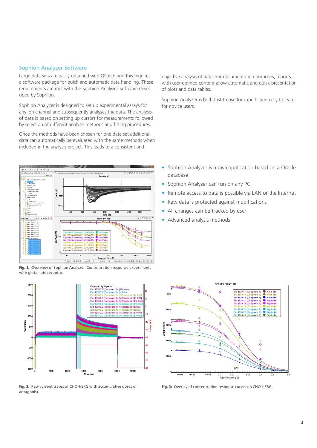#### Sophion Analyzer Software

Large data sets are easily obtained with QPatch and this requires a software package for quick and automatic data handling. These requirements are met with the Sophion Analyzer Software developed by Sophion.

Sophion Analyzer is designed to set up experimental assays for any ion channel and subsequently analyses the data. The analysis of data is based on setting up cursors for measurements followed by selection of different analysis methods and fitting procedures.

Once the methods have been chosen for one data set additional data can automatically be evaluated with the same methods when included in the analysis project. This leads to a consistent and



**Fig. 1:** Overview of Sophion Analyzer. Concentration response experiments with glutamate receptor.



**Fig. 2:** Raw current traces of CHO-hERG with accumulative doses of antagonist.

objective analysis of data. For documentation purposes, reports with user-defined content allow automatic and quick presentation of plots and data tables.

Sophion Analyzer is both fast to use for experts and easy to learn for novice users.

- Sophion Analyzer is a Java application based on a Oracle database
- Sophion Analyzer can run on any PC
- Remote access to data is possible via LAN or the Internet
- Raw data is protected against modifications
- All changes can be tracked by user
- Advanced analysis methods



**Fig. 3:** Overlay of concentration response curves on CHO-hERG.